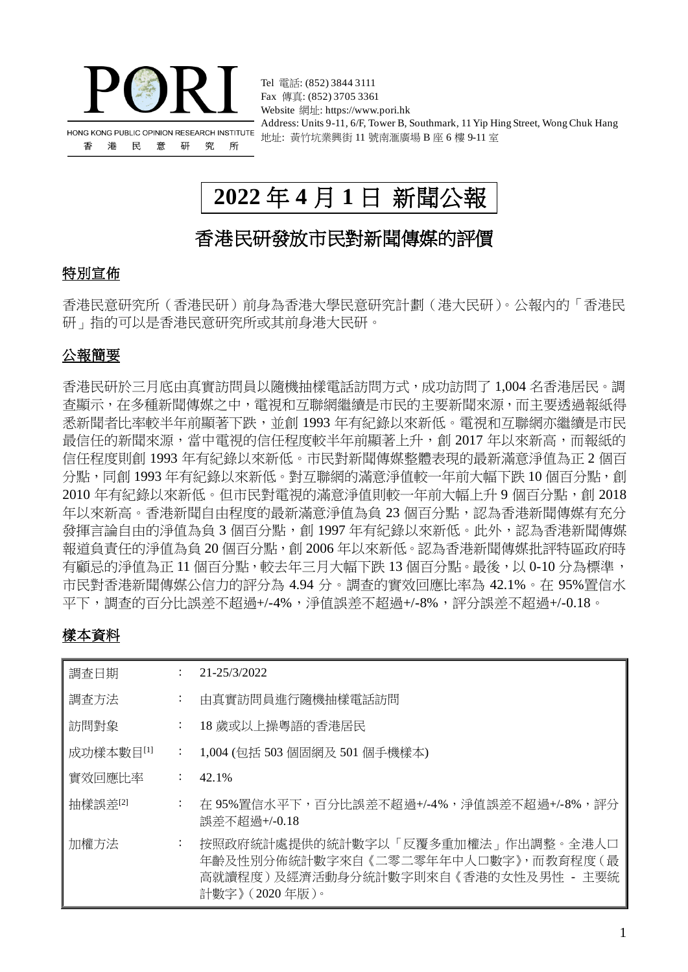

Fax 傳真: (852) 3705 3361 Website 網址: https://www.pori.hk Address: Units 9-11, 6/F, Tower B, Southmark, 11 Yip Hing Street, Wong Chuk Hang 地址: 黃竹坑業興街 11 號南滙廣場 B 座 6 樓 9-11 室

# **2022** 年 **4** 月 **1** 日 新聞公報

Tel 電話: (852) 3844 3111

## 香港民研發放市民對新聞傳媒的評價

### 特別宣佈

香港民意研究所(香港民研)前身為香港大學民意研究計劃(港大民研)。公報內的「香港民 研」指的可以是香港民意研究所或其前身港大民研。

### 公報簡要

香港民研於三月底由真實訪問員以隨機抽樣電話訪問方式,成功訪問了 1,004 名香港居民。調 查顯示,在多種新聞傳媒之中,電視和互聯網繼續是市民的主要新聞來源,而主要透過報紙得 悉新聞者比率較半年前顯著下跌,並創 1993 年有紀錄以來新低。電視和互聯網亦繼續是市民 最信任的新聞來源,當中電視的信任程度較半年前顯著上升,創 2017 年以來新高,而報紙的 信任程度則創 1993 年有紀錄以來新低。市民對新聞傳媒整體表現的最新滿意淨值為正 2 個百 分點,同創 1993 年有紀錄以來新低。對互聯網的滿意淨值較一年前大幅下跌 10 個百分點,創 2010年有紀錄以來新低。但市民對電視的滿意淨值則較一年前大幅上升9個百分點,創 2018 年以來新高。香港新聞自由程度的最新滿意淨值為負 23 個百分點,認為香港新聞傳媒有充分 發揮言論自由的淨值為負 3 個百分點,創 1997 年有紀錄以來新低。此外,認為香港新聞傳媒 報道負責任的淨值為負 20個百分點, 創 2006 年以來新低。認為香港新聞傳媒批評特區政府時 有顧忌的淨值為正11個百分點,較去年三月大幅下跌13個百分點。最後,以 0-10分為標準, 市民對香港新聞傳媒公信力的評分為 4.94 分。調查的實效回應比率為 42.1%。在 95%置信水 平下,調查的百分比誤差不超過+/-4%,淨值誤差不超過+/-8%,評分誤差不超過+/-0.18。

### 樣本資料

| 調査日期      |                           | 21-25/3/2022                                                                                                                        |
|-----------|---------------------------|-------------------------------------------------------------------------------------------------------------------------------------|
| 調査方法      | $\ddot{\phantom{a}}$      | 由真實訪問員進行隨機抽樣電話訪問                                                                                                                    |
| 訪問對象      | $\ddot{\phantom{a}}$      | 18 歲或以上操粵語的香港居民                                                                                                                     |
| 成功樣本數目[1] | $\mathbb{Z}^{\mathbb{Z}}$ | 1,004 (包括 503 個固網及 501 個手機樣本)                                                                                                       |
| 實效回應比率    | $\mathbb{Z}^{\mathbb{Z}}$ | 42.1%                                                                                                                               |
| 抽樣誤差[2]   | $\ddot{\cdot}$            | 在 95%置信水平下,百分比誤差不超過+/-4%,淨值誤差不超過+/-8%,評分<br>誤差不超過+/-0.18                                                                            |
| 加權方法      | $\ddot{\phantom{a}}$      | 按照政府統計處提供的統計數字以「反覆多重加權法」作出調整。全港人口<br>年齡及性別分佈統計數字來自《二零二零年年中人口數字》,而教育程度(最<br>高就讀程度)及經濟活動身分統計數字則來自《香港的女性及男性 - 主要統<br>計數字》 ( 2020 年版 )。 |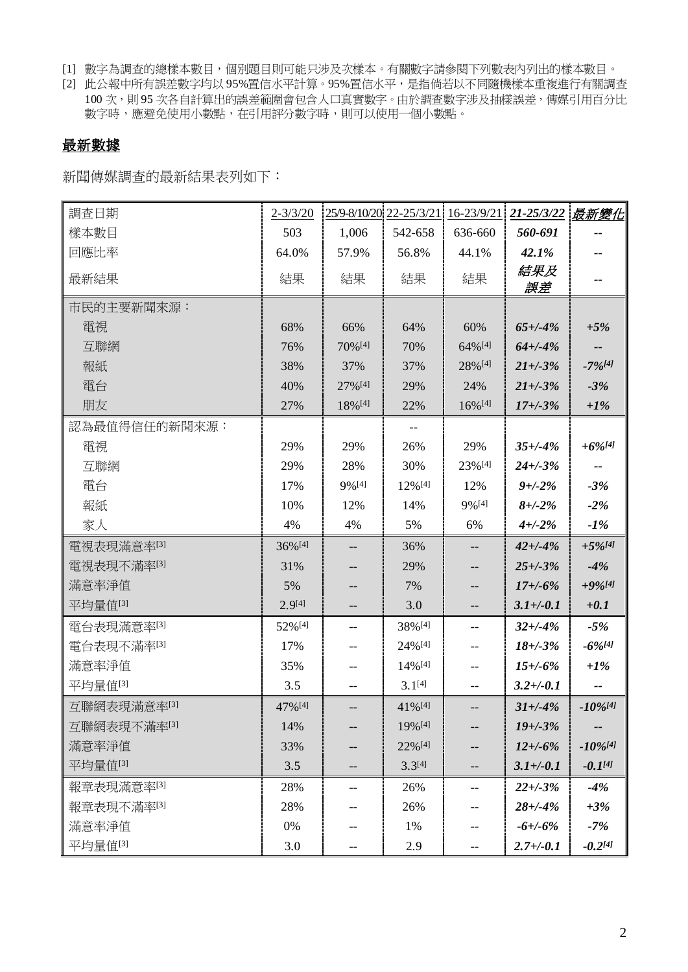- [1] 數字為調查的總樣本數目,個別題目則可能只涉及次樣本。有關數字請參閱下列數表內列出的樣本數目。
- [2] 此公報中所有誤差數字均以 95%置信水平計算。95%置信水平,是指倘若以不同隨機樣本重複進行有關調查 100 次,則 95 次各自計算出的誤差範圍會包含人口真實數字。由於調查數字涉及抽樣誤差,傳媒引用百分比 數字時,應避免使用小數點,在引用評分數字時,則可以使用一個小數點。

### 最新數據

新聞傳媒調查的最新結果表列如下:

| 調查日期          | $2 - \frac{3}{3}$ /20 |                      |                       |                       | 25/9-8/10/20 22-25/3/21 16-23/9/21 21-25/3/22 最新變化 |                        |
|---------------|-----------------------|----------------------|-----------------------|-----------------------|----------------------------------------------------|------------------------|
| 樣本數目          | 503                   | 1,006                | 542-658               | 636-660               | 560-691                                            |                        |
| 回應比率          | 64.0%                 | 57.9%                | 56.8%                 | 44.1%                 | 42.1%                                              |                        |
| 最新結果          | 結果                    | 結果                   | 結果                    | 結果                    | 結果及<br>誤差                                          |                        |
| 市民的主要新聞來源:    |                       |                      |                       |                       |                                                    |                        |
| 電視            | 68%                   | 66%                  | 64%                   | 60%                   | $65 + (-4%)$                                       | $+5%$                  |
| 互聯網           | 76%                   | 70% [4]              | 70%                   | 64%[4]                | $64 + (-4%)$                                       |                        |
| 報紙            | 38%                   | 37%                  | 37%                   | 28%[4]                | $21 + (-3%)$                                       | $-7\%/41$              |
| 電台            | 40%                   | 27%[4]               | 29%                   | 24%                   | $21 + (-3%)$                                       | $-3%$                  |
| 朋友            | 27%                   | 18%[4]               | 22%                   | $16\%$ <sup>[4]</sup> | $17 + (-3%)$                                       | $+1\%$                 |
| 認為最值得信任的新聞來源: |                       |                      |                       |                       |                                                    |                        |
| 電視            | 29%                   | 29%                  | 26%                   | 29%                   | $35 + (-4%)$                                       | $+6\%$ [4]             |
| 互聯網           | 29%                   | 28%                  | 30%                   | 23%[4]                | $24 + (-3)$ %                                      |                        |
| 電台            | 17%                   | $9\%$ <sup>[4]</sup> | 12%[4]                | 12%                   | $9 + -2\%$                                         | $-3%$                  |
| 報紙            | 10%                   | 12%                  | 14%                   | 9%[4]                 | $8 + (-2%)$                                        | $-2%$                  |
| 家人            | 4%                    | 4%                   | 5%                    | 6%                    | $4 + (-2)$ %                                       | $-1\%$                 |
| 電視表現滿意率[3]    | 36%[4]                | $-$                  | 36%                   |                       | $42 + (-4%)$                                       | $+5\%$ <sup>[4]</sup>  |
| 電視表現不滿率[3]    | 31%                   |                      | 29%                   |                       | $25 + (-3%)$                                       | $-4%$                  |
| 滿意率淨值         | 5%                    |                      | 7%                    |                       | $17 + (-6%)$                                       | $+9\%/41$              |
| 平均量值[3]       | $2.9^{[4]}$           |                      | 3.0                   |                       | $3.1 + (-0.1)$                                     | $+0.1$                 |
| 電台表現滿意率[3]    | 52%[4]                | $-$                  | 38%[4]                | --                    | $32 + (-4%)$                                       | $-5%$                  |
| 電台表現不滿率[3]    | 17%                   |                      | $24\%$ <sup>[4]</sup> |                       | $18 + -3\%$                                        | $-6\%$ [4]             |
| 滿意率淨值         | 35%                   |                      | 14%[4]                |                       | $15 + (-6%)$                                       | $+1\%$                 |
| 平均量值[3]       | 3.5                   | --                   | $3.1^{[4]}$           | --                    | $3.2 + (-0.1)$                                     |                        |
| 互聯網表現滿意率[3]   | 47% [4]               | $\qquad \qquad -$    | $41\%$ <sup>[4]</sup> | --                    | $31 + (-4%)$                                       | $-10\%$ <sup>[4]</sup> |
| 互聯網表現不滿率[3]   | 14%                   |                      | 19%[4]                |                       | $19 + (-3%)$                                       |                        |
| 滿意率淨值         | 33%                   |                      | 22%[4]                |                       | $12 + (-6%)$                                       | $-10\%$ <sup>[4]</sup> |
| 平均量值[3]       | 3.5                   |                      | $3.3^{[4]}$           |                       | $3.1 + (-0.1)$                                     | $-0.1^{[4]}$           |
| 報章表現滿意率[3]    | 28%                   |                      | 26%                   |                       | $22 + (-3%)$                                       | $-4%$                  |
| 報章表現不滿率[3]    | 28%                   |                      | 26%                   |                       | $28 + (-4%)$                                       | $+3%$                  |
| 滿意率淨值         | 0%                    |                      | 1%                    |                       | $-6 + (-6\%$                                       | $-7%$                  |
| 平均量值[3]       | 3.0                   | --                   | 2.9                   | --                    | $2.7 + (-0.1)$                                     | $-0.2^{[4]}$           |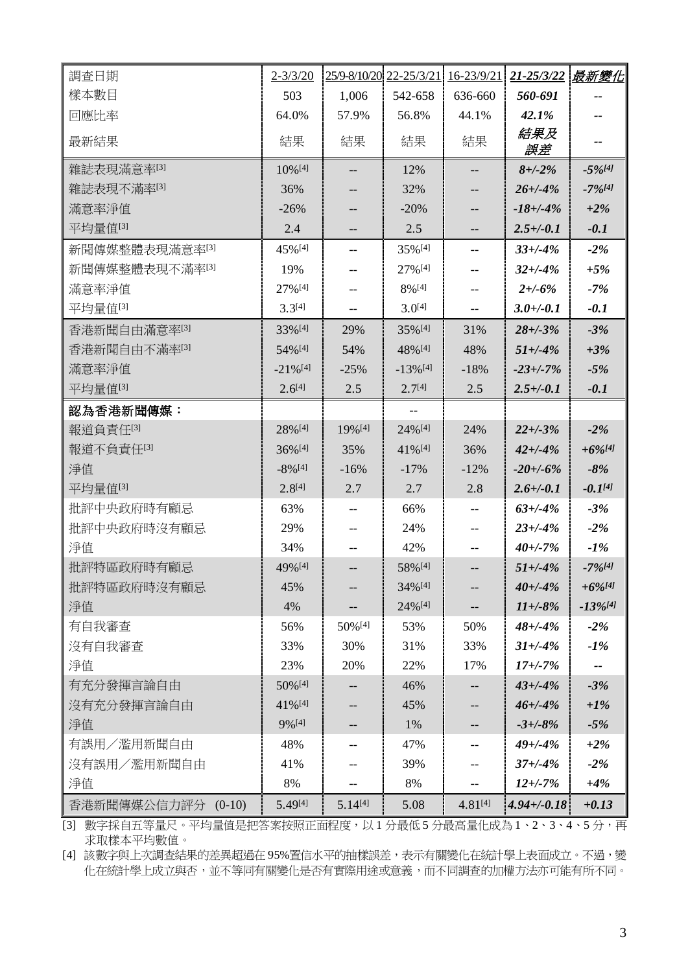| 調查日期               | $2 - 3/3/20$           |              | 25/9-8/10/20 22-25/3/21 16-23/9/21 |              | 21-25/3/22       | 最新變化                   |
|--------------------|------------------------|--------------|------------------------------------|--------------|------------------|------------------------|
| 樣本數目               | 503                    | 1,006        | 542-658                            | 636-660      | 560-691          |                        |
| 回應比率               | 64.0%                  | 57.9%        | 56.8%                              | 44.1%        | 42.1%            |                        |
| 最新結果               | 結果                     | 結果           | 結果                                 | 結果           | 結果及<br>誤差        |                        |
| 雜誌表現滿意率[3]         | 10% [4]                | --           | 12%                                | --           | $8 + (-2%)$      | $-5\%$ [4]             |
| 雜誌表現不滿率[3]         | 36%                    |              | 32%                                |              | $26 + (-4%)$     | $-7\%/41$              |
| 滿意率淨值              | $-26%$                 | --           | $-20%$                             |              | $-18 + (-4%)$    | $+2\%$                 |
| 平均量值[3]            | 2.4                    | --           | 2.5                                |              | $2.5 + (-0.1)$   | $-0.1$                 |
| 新聞傳媒整體表現滿意率[3]     | 45%[4]                 | --           | 35%[4]                             | --           | $33 + (-4%)$     | $-2%$                  |
| 新聞傳媒整體表現不滿率[3]     | 19%                    | --           | 27%[4]                             | --           | $32 + (-4%)$     | $+5%$                  |
| 滿意率淨值              | 27%[4]                 | --           | 8%[4]                              |              | $2 + 6\%$        | $-7%$                  |
| 平均量值[3]            | $3.3^{[4]}$            | --           | $3.0^{[4]}$                        | --           | $3.0 +/-0.1$     | $-0.1$                 |
| 香港新聞自由滿意率[3]       | 33%[4]                 | 29%          | 35%[4]                             | 31%          | $28 + (-3%)$     | $-3%$                  |
| 香港新聞自由不滿率[3]       | 54% [4]                | 54%          | 48%[4]                             | 48%          | $51 + (-4%)$     | $+3%$                  |
| 滿意率淨值              | $-21\%$ <sup>[4]</sup> | $-25%$       | $-13\%$ <sup>[4]</sup>             | $-18%$       | $-23 + (-7%)$    | $-5%$                  |
| 平均量值[3]            | $2.6^{[4]}$            | 2.5          | $2.7^{[4]}$                        | 2.5          | $2.5 + (-0.1)$   | $-0.1$                 |
| 認為香港新聞傳媒:          |                        |              | $- -$                              |              |                  |                        |
| 報道負責任[3]           | 28%[4]                 | 19% [4]      | 24%[4]                             | 24%          | $22 + (-3%)$     | $-2%$                  |
| 報道不負責任[3]          | 36%[4]                 | 35%          | 41%[4]                             | 36%          | $42 + (-4%)$     | $+6\%$ [4]             |
| 淨值                 | $-8\%$ <sup>[4]</sup>  | $-16%$       | $-17%$                             | $-12%$       | $-20 + (-6%)$    | $-8%$                  |
| 平均量值[3]            | $2.8^{[4]}$            | 2.7          | 2.7                                | 2.8          | $2.6 + (-0.1)$   | $-0.1^{[4]}$           |
| 批評中央政府時有顧忌         | 63%                    | --           | 66%                                | --           | $63 + (-4%)$     | $-3%$                  |
| 批評中央政府時沒有顧忌        | 29%                    |              | 24%                                |              | $23 + (-4%)$     | $-2\%$                 |
| 淨值                 | 34%                    | --           | 42%                                | $-$          | $40 + (-7%)$     | $-1\%$                 |
| 批評特區政府時有顧忌         | 49%[4]                 | --           | 58%[4]                             |              | $51 + (-4%)$     | $-7\%$ <sup>[4]</sup>  |
| 批評特區政府時沒有顧忌        | 45%                    |              | 34%[4]                             |              | $40 + (-4%)$     | $+6\%$ [4]             |
| 淨值                 | 4%                     | --           | 24%[4]                             | --           | $11 + -8\%$      | $-13\%$ <sup>[4]</sup> |
| 有自我審查              | 56%                    | 50%[4]       | 53%                                | 50%          | $48 + (-4%)$     | $-2%$                  |
| 沒有自我審查             | 33%                    | 30%          | 31%                                | 33%          | $31 + (-4%)$     | $-1\%$                 |
| 淨值                 | 23%                    | 20%          | 22%                                | 17%          | $17 + (-7%)$     | --                     |
| 有充分發揮言論自由          | 50% [4]                | --           | 46%                                | --           | $43 + (-4%)$     | $-3%$                  |
| 沒有充分發揮言論自由         | 41%[4]                 | --           | 45%                                | --           | $46 + (-4%)$     | $+1\%$                 |
| 淨值                 | 9%[4]                  | --           | 1%                                 | --           | $-3 + (-8)%$     | $-5%$                  |
| 有誤用/濫用新聞自由         | 48%                    | --           | 47%                                | --           | $49 + (-4%)$     | $+2\%$                 |
| 沒有誤用/濫用新聞自由        | 41%                    |              | 39%                                |              | $37 + (-4%)$     | $-2%$                  |
| 淨值                 | 8%                     | --           | 8%                                 | --           | $12 + (-7%)$     | $+4%$                  |
| 香港新聞傳媒公信力評分 (0-10) | 5.49[4]                | $5.14^{[4]}$ | 5.08                               | $4.81^{[4]}$ | $4.94 + (-0.18)$ | $+0.13$                |

[3] 數字採自五等量尺。平均量值是把答案按照正面程度,以1分最低5分最高量化成為1、2、3、4、5分,再 求取樣本平均數值。

[4] 該數字與上次調查結果的差異超過在 95%置信水平的抽樣誤差,表示有關變化在統計學上表面成立。不過,變 化在統計學上成立與否,並不等同有關變化是否有實際用途或意義,而不同調查的加權方法亦可能有所不同。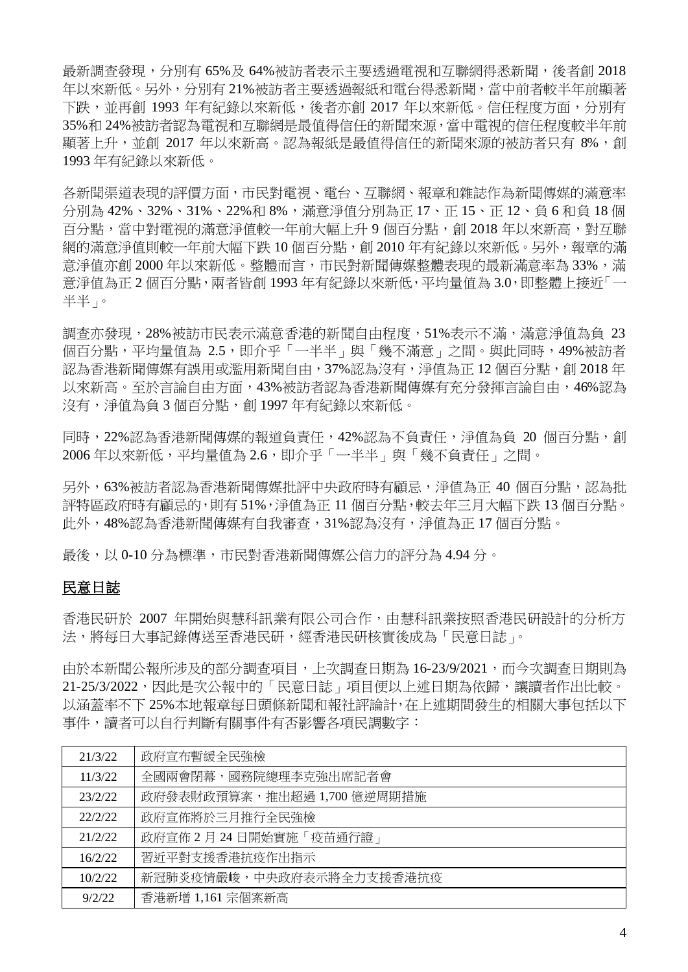最新調查發現,分別有 65%及 64%被訪者表示主要透過電視和互聯網得悉新聞,後者創 2018 年以來新低。另外,分別有 21%被訪者主要透過報紙和電台得悉新聞,當中前者較半年前顯著 下跌,並再創 1993 年有紀錄以來新低,後者亦創 2017 年以來新低。信任程度方面,分別有 35%和 24%被訪者認為電視和互聯網是最值得信任的新聞來源,當中電視的信任程度較半年前 顯著上升,並創 2017 年以來新高。認為報紙是最值得信任的新聞來源的被訪者只有 8%,創 1993 年有紀錄以來新低。

各新聞渠道表現的評價方面,市民對電視、電台、互聯網、報章和雜誌作為新聞傳媒的滿意率 分別為 42%、32%、31%、22%和 8%,滿意淨值分別為正 17、正 15、正 12、負 6 和負 18 個 百分點,當中對電視的滿意淨值較一年前大幅上升 9 個百分點,創 2018 年以來新高,對互聯 網的滿意淨值則較一年前大幅下跌 10個百分點,創 2010年有紀錄以來新低。另外,報章的滿 意淨值亦創 2000年以來新低。整體而言,市民對新聞傳媒整體表現的最新滿意率為 33%,滿 意淨值為正 2 個百分點,兩者皆創 1993 年有紀錄以來新低,平均量值為 3.0,即整體上接近「一 半半」。

調查亦發現,28%被訪市民表示滿意香港的新聞自由程度,51%表示不滿,滿意淨值為負 23 個百分點,平均量值為 2.5,即介乎「一半半」與「幾不滿意」之間。與此同時,49%被訪者 認為香港新聞傳媒有誤用或濫用新聞自由,37%認為沒有,淨值為正12個百分點,創 2018年 以來新高。至於言論自由方面,43%被訪者認為香港新聞傳媒有充分發揮言論自由,46%認為 沒有,淨值為負 3 個百分點,創 1997 年有紀錄以來新低。

同時, 22%認為香港新聞傳媒的報道負責任, 42%認為不負責任, 淨值為負 20 個百分點, 創 2006年以來新低,平均量值為 2.6,即介乎「一半半」與「幾不負責任」之間。

另外,63%被訪者認為香港新聞傳媒批評中央政府時有顧忌,淨值為正 40 個百分點,認為批 評特區政府時有顧忌的,則有51%,淨值為正 11個百分點,較去年三月大幅下跌 13個百分點。 此外,48%認為香港新聞傳媒有自我審查,31%認為沒有,淨值為正17個百分點。

最後,以 0-10 分為標準,市民對香港新聞傳媒公信力的評分為 4.94 分。

### 民意日誌

香港民研於 2007 年開始與慧科訊業有限公司合作,由慧科訊業按照香港民研設計的分析方 法,將每日大事記錄傳送至香港民研,經香港民研核實後成為「民意日誌」。

中於本新聞公報所涉及的部分調查項目,上次調查日期為 16-23/9/2021,而今次調查日期則為 21-25/3/2022,因此是次公報中的「民意日誌」項目便以上述日期為依歸,讓讀者作出比較。 以涵蓋率不下 25%本地報章每日頭條新聞和報社評論計,在上述期間發生的相關大事包括以下 事件,讀者可以自行判斷有關事件有否影響各項民調數字:

| 21/3/22 | 政府宣布暫緩全民強檢                  |
|---------|-----------------------------|
| 11/3/22 | 全國兩會閉幕,國務院總理李克強出席記者會        |
| 23/2/22 | 政府發表財政預算案,推出超過 1,700 億逆周期措施 |
| 22/2/22 | 政府宣佈將於三月推行全民強檢              |
| 21/2/22 | 政府宣佈 2月24日開始實施「疫苗通行證」       |
| 16/2/22 | 習折平對支援香港抗疫作出指示              |
| 10/2/22 | 新冠肺炎疫情嚴峻,中央政府表示將全力支援香港抗疫    |
| 9/2/22  | 香港新增 1,161 宗個案新高            |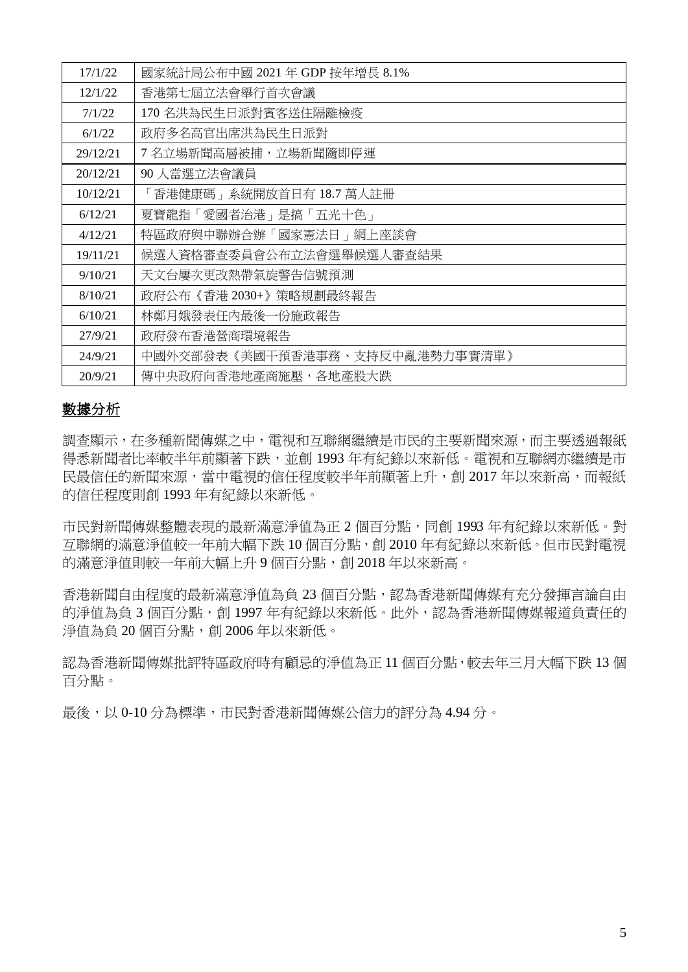| 17/1/22  | 國家統計局公布中國 2021 年 GDP 按年增長 8.1% |
|----------|--------------------------------|
| 12/1/22  | 香港第七屆立法會舉行首次會議                 |
| 7/1/22   | 170 名洪為民生日派對賓客送住隔離檢疫           |
| 6/1/22   | 政府多名高官出席洪為民生日派對                |
| 29/12/21 | 7 名立場新聞高層被捕,立場新聞隨即停運           |
| 20/12/21 | 90 人當選立法會議員                    |
| 10/12/21 | 「香港健康碼」系統開放首日有 18.7 萬人註冊       |
| 6/12/21  | 夏寶龍指「愛國者治港」是搞「五光十色」            |
| 4/12/21  | 特區政府與中聯辦合辦「國家憲法日」網上座談會         |
| 19/11/21 | 候選人資格審查委員會公布立法會選舉候選人審查結果       |
| 9/10/21  | 天文台屢次更改熱帶氣旋警告信號預測              |
| 8/10/21  | 政府公布《香港 2030+》策略規劃最終報告         |
| 6/10/21  | 林鄭月娥發表任内最後一份施政報告               |
| 27/9/21  | 政府發布香港營商環境報告                   |
| 24/9/21  | 中國外交部發表《美國干預香港事務、支持反中亂港勢力事實清單》 |
| 20/9/21  | 傳中央政府向香港地產商施壓,各地產股大跌           |

### 數據分析

調查顯示,在多種新聞傳媒之中,電視和互聯網繼續是市民的主要新聞來源,而主要透過報紙 得悉新聞者比率較半年前顯著下跌,並創 1993 年有紀錄以來新低。電視和互聯網亦繼續是市 民最信任的新聞來源,當中電視的信任程度較半年前顯著上升,創 2017 年以來新高,而報紙 的信任程度則創 1993 年有紀錄以來新低。

市民對新聞傳媒整體表現的最新滿意淨值為正 2 個百分點,同創 1993 年有紀錄以來新低。對 互聯網的滿意淨值較一年前大幅下跌 10 個百分點,創 2010 年有紀錄以來新低。但市民對電視 的滿意淨值則較一年前大幅上升9個百分點,創 2018年以來新高。

香港新聞自由程度的最新滿意淨值為負23個百分點,認為香港新聞傳媒有充分發揮言論自由 的淨值為負 3 個百分點,創 1997 年有紀錄以來新低。此外,認為香港新聞傳媒報道負責任的 淨值為負 20 個百分點,創 2006年以來新低。

認為香港新聞傳媒批評特區政府時有顧忌的淨值為正 11 個百分點,較去年三月大幅下跌 13 個 百分點。

最後,以 0-10 分為標準,市民對香港新聞傳媒公信力的評分為 4.94 分。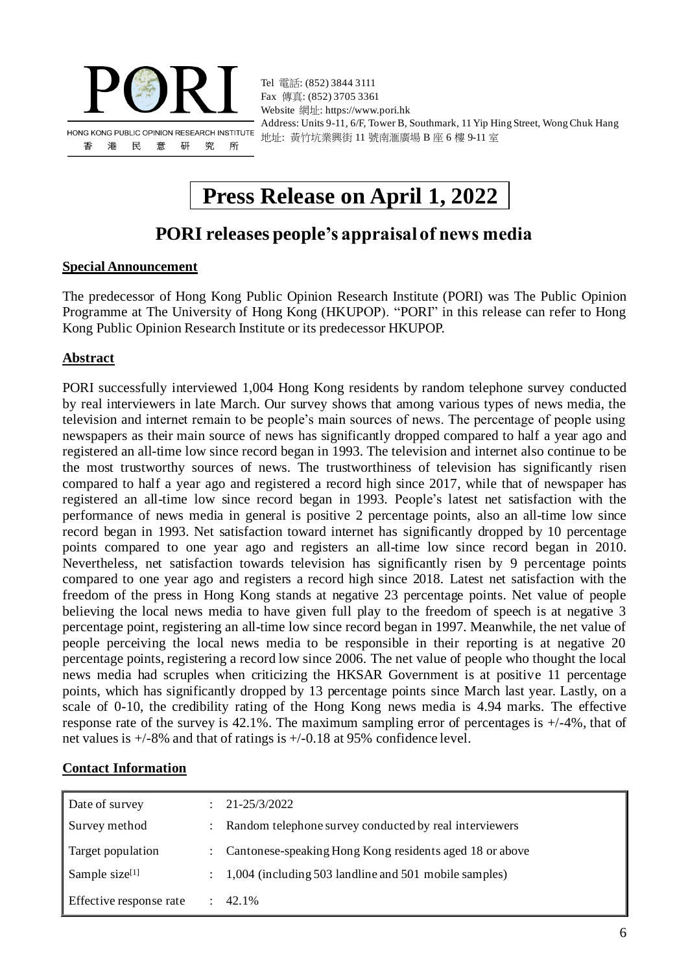

Tel 電話: (852) 3844 3111 Fax 傳真: (852) 3705 3361 Website 網址: https://www.pori.hk Address: Units 9-11, 6/F, Tower B, Southmark, 11 Yip Hing Street, Wong Chuk Hang 地址: 黃竹坑業興街 11 號南滙廣場 B 座 6 樓 9-11 室

# **Press Release on April 1, 2022**

## **PORI releases people's appraisal of news media**

### **Special Announcement**

The predecessor of Hong Kong Public Opinion Research Institute (PORI) was The Public Opinion Programme at The University of Hong Kong (HKUPOP). "PORI" in this release can refer to Hong Kong Public Opinion Research Institute or its predecessor HKUPOP.

### **Abstract**

PORI successfully interviewed 1,004 Hong Kong residents by random telephone survey conducted by real interviewers in late March. Our survey shows that among various types of news media, the television and internet remain to be people's main sources of news. The percentage of people using newspapers as their main source of news has significantly dropped compared to half a year ago and registered an all-time low since record began in 1993. The television and internet also continue to be the most trustworthy sources of news. The trustworthiness of television has significantly risen compared to half a year ago and registered a record high since 2017, while that of newspaper has registered an all-time low since record began in 1993. People's latest net satisfaction with the performance of news media in general is positive 2 percentage points, also an all-time low since record began in 1993. Net satisfaction toward internet has significantly dropped by 10 percentage points compared to one year ago and registers an all-time low since record began in 2010. Nevertheless, net satisfaction towards television has significantly risen by 9 percentage points compared to one year ago and registers a record high since 2018. Latest net satisfaction with the freedom of the press in Hong Kong stands at negative 23 percentage points. Net value of people believing the local news media to have given full play to the freedom of speech is at negative 3 percentage point, registering an all-time low since record began in 1997. Meanwhile, the net value of people perceiving the local news media to be responsible in their reporting is at negative 20 percentage points, registering a record low since 2006. The net value of people who thought the local news media had scruples when criticizing the HKSAR Government is at positive 11 percentage points, which has significantly dropped by 13 percentage points since March last year. Lastly, on a scale of 0-10, the credibility rating of the Hong Kong news media is 4.94 marks. The effective response rate of the survey is 42.1%. The maximum sampling error of percentages is +/-4%, that of net values is +/-8% and that of ratings is +/-0.18 at 95% confidence level.

### **Contact Information**

| Date of survey          | 21-25/3/2022                                              |
|-------------------------|-----------------------------------------------------------|
| Survey method           | Random telephone survey conducted by real interviewers    |
| Target population       | : Cantonese-speaking Hong Kong residents aged 18 or above |
| Sample size $[1]$       | 1,004 (including 503 landline and 501 mobile samples)     |
| Effective response rate | 42.1%                                                     |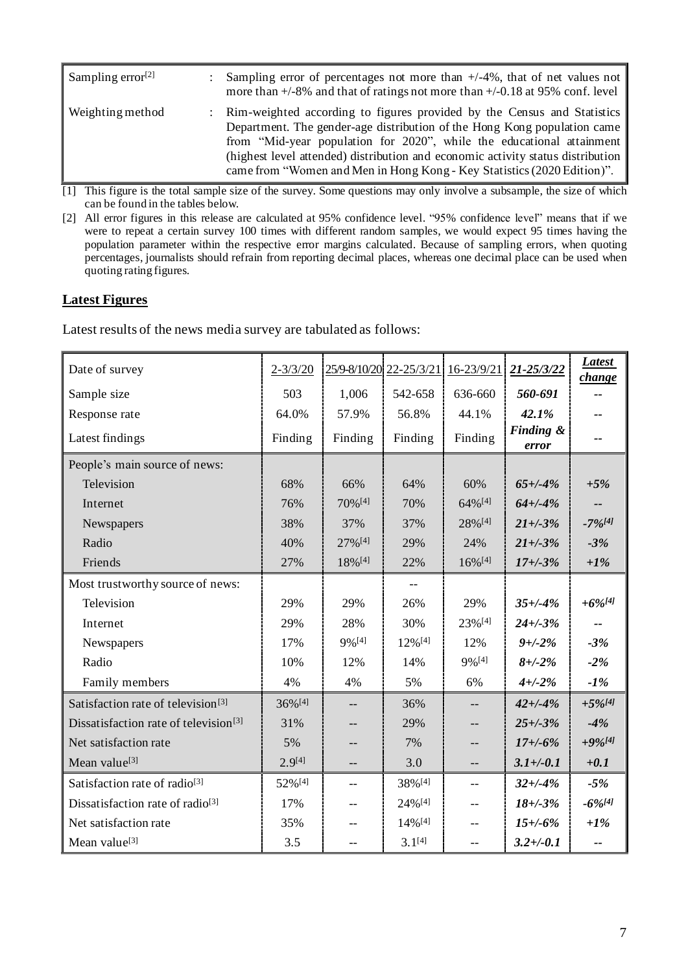| Sampling error $[2]$ | Sampling error of percentages not more than $+/-4\%$ , that of net values not<br>more than $\pm$ /-8% and that of ratings not more than $\pm$ /-0.18 at 95% conf. level                                                                                                                                                                                                                      |
|----------------------|----------------------------------------------------------------------------------------------------------------------------------------------------------------------------------------------------------------------------------------------------------------------------------------------------------------------------------------------------------------------------------------------|
| Weighting method     | : Rim-weighted according to figures provided by the Census and Statistics<br>Department. The gender-age distribution of the Hong Kong population came<br>from "Mid-year population for 2020", while the educational attainment<br>(highest level attended) distribution and economic activity status distribution<br>came from "Women and Men in Hong Kong - Key Statistics (2020 Edition)". |

[1] This figure is the total sample size of the survey. Some questions may only involve a subsample, the size of which can be found in the tables below.

[2] All error figures in this release are calculated at 95% confidence level. "95% confidence level" means that if we were to repeat a certain survey 100 times with different random samples, we would expect 95 times having the population parameter within the respective error margins calculated. Because of sampling errors, when quoting percentages, journalists should refrain from reporting decimal places, whereas one decimal place can be used when quoting rating figures.

### **Latest Figures**

Latest results of the news media survey are tabulated as follows:

| Date of survey                                    | $2 - 3/3/20$ |         | 25/9-8/10/20 22-25/3/21 16-23/9/21 |                       | 21-25/3/22         | <b>Latest</b><br><i>change</i> |
|---------------------------------------------------|--------------|---------|------------------------------------|-----------------------|--------------------|--------------------------------|
| Sample size                                       | 503          | 1,006   | 542-658                            | 636-660               | 560-691            |                                |
| Response rate                                     | 64.0%        | 57.9%   | 56.8%                              | 44.1%                 | 42.1%              |                                |
| Latest findings                                   | Finding      | Finding | Finding                            | Finding               | Finding &<br>error |                                |
| People's main source of news:                     |              |         |                                    |                       |                    |                                |
| Television                                        | 68%          | 66%     | 64%                                | 60%                   | $65 + (-4%)$       | $+5%$                          |
| Internet                                          | 76%          | 70% [4] | 70%                                | 64%[4]                | $64 + (-4%)$       |                                |
| Newspapers                                        | 38%          | 37%     | 37%                                | 28%[4]                | $21 + (-3%)$       | $-7\%/41$                      |
| Radio                                             | 40%          | 27% [4] | 29%                                | 24%                   | $21 + (-3%)$       | $-3%$                          |
| Friends                                           | 27%          | 18%[4]  | 22%                                | $16\%$ <sup>[4]</sup> | $17 + (-3%)$       | $+1\%$                         |
| Most trustworthy source of news:                  |              |         | $-$                                |                       |                    |                                |
| Television                                        | 29%          | 29%     | 26%                                | 29%                   | $35 + (-4%)$       | $+6\%$ [4]                     |
| Internet                                          | 29%          | 28%     | 30%                                | 23%[4]                | $24 + (-3%)$       | --                             |
| Newspapers                                        | 17%          | 9%[4]   | 12%[4]                             | 12%                   | $9 + -2\%$         | $-3%$                          |
| Radio                                             | 10%          | 12%     | 14%                                | 9%[4]                 | $8 + -2\%$         | $-2%$                          |
| Family members                                    | 4%           | 4%      | 5%                                 | 6%                    | $4 + (-2)$ %       | $-1%$                          |
| Satisfaction rate of television <sup>[3]</sup>    | 36%[4]       |         | 36%                                |                       | $42 + (-4%)$       | $+5\%$ [4]                     |
| Dissatisfaction rate of television <sup>[3]</sup> | 31%          |         | 29%                                |                       | $25 + (-3)$ %      | $-4%$                          |
| Net satisfaction rate                             | 5%           |         | 7%                                 |                       | $17 + (-6%)$       | $+9%$ [4]                      |
| Mean value <sup>[3]</sup>                         | $2.9^{[4]}$  | $-$     | 3.0                                | --                    | $3.1 + (-0.1)$     | $+0.1$                         |
| Satisfaction rate of radio <sup>[3]</sup>         | 52%[4]       | $-$     | 38%[4]                             | $-$                   | $32 + (-4%)$       | $-5%$                          |
| Dissatisfaction rate of radio <sup>[3]</sup>      | 17%          |         | 24%[4]                             | $-$                   | $18 + -3%$         | $-6\%$ [4]                     |
| Net satisfaction rate                             | 35%          |         | 14%[4]                             |                       | $15 + (-6%)$       | $+1\%$                         |
| Mean value <sup>[3]</sup>                         | 3.5          |         | $3.1^{[4]}$                        |                       | $3.2 + (-0.1)$     |                                |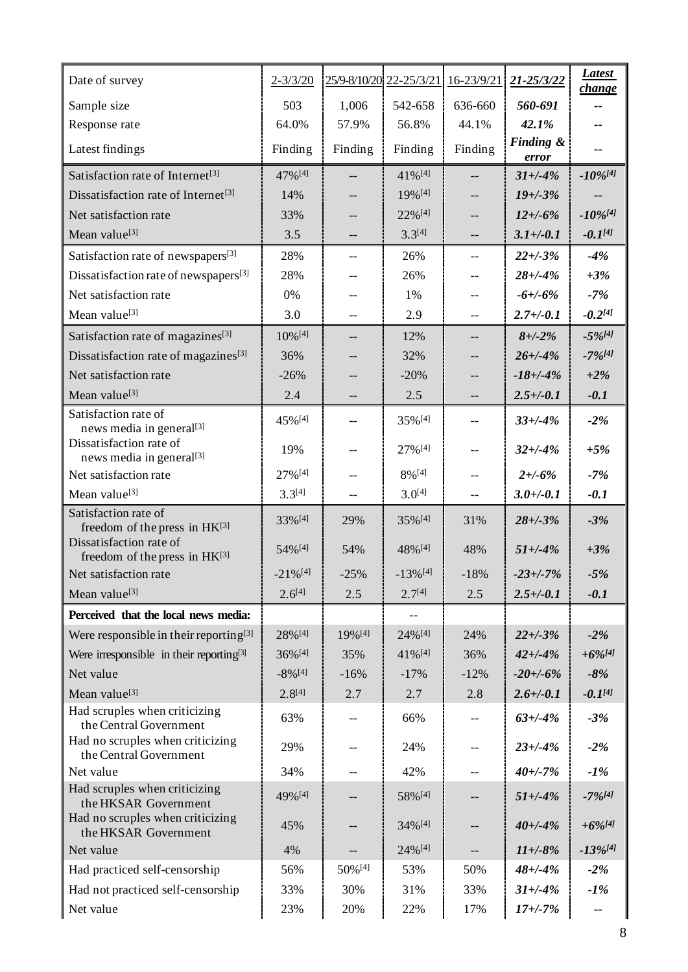| Date of survey                                                    | $2 - 3/3/20$           |         | 25/9-8/10/20 22-25/3/21 16-23/9/21 |                          | 21-25/3/22         | <b>Latest</b><br>change |
|-------------------------------------------------------------------|------------------------|---------|------------------------------------|--------------------------|--------------------|-------------------------|
| Sample size                                                       | 503                    | 1,006   | 542-658                            | 636-660                  | 560-691            |                         |
| Response rate                                                     | 64.0%                  | 57.9%   | 56.8%                              | 44.1%                    | 42.1%              |                         |
| Latest findings                                                   | Finding                | Finding | Finding                            | Finding                  | Finding &<br>error |                         |
| Satisfaction rate of Internet <sup>[3]</sup>                      | 47% [4]                | --      | 41%[4]                             | $\overline{\phantom{a}}$ | $31 + (-4%)$       | $-10\%$ [4]             |
| Dissatisfaction rate of Internet <sup>[3]</sup>                   | 14%                    |         | 19%[4]                             |                          | $19 + (-3%)$       |                         |
| Net satisfaction rate                                             | 33%                    | --      | 22%[4]                             | --                       | $12 + (-6%)$       | $-10\%$ <sup>[4]</sup>  |
| Mean value <sup>[3]</sup>                                         | 3.5                    | --      | $3.3^{[4]}$                        | --                       | $3.1 + (-0.1)$     | $-0.1^{[4]}$            |
| Satisfaction rate of newspapers[3]                                | 28%                    | --      | 26%                                | --                       | $22 + (-3)$ %      | $-4%$                   |
| Dissatisfaction rate of newspapers <sup>[3]</sup>                 | 28%                    | --      | 26%                                | $-$                      | $28 + (-4%)$       | $+3%$                   |
| Net satisfaction rate                                             | 0%                     | --      | 1%                                 | --                       | $-6 + (-6\%$       | $-7%$                   |
| Mean value <sup>[3]</sup>                                         | 3.0                    | $-$     | 2.9                                | $-$                      | $2.7 + (-0.1)$     | $-0.2^{[4]}$            |
| Satisfaction rate of magazines <sup>[3]</sup>                     | 10% [4]                | --      | 12%                                | --                       | $8 + (-2%)$        | $-5\%$ [4]              |
| Dissatisfaction rate of magazines <sup>[3]</sup>                  | 36%                    | --      | 32%                                |                          | $26 + (-4%)$       | $-7%141$                |
| Net satisfaction rate                                             | $-26%$                 | --      | $-20%$                             | --                       | $-18 + (-4%)$      | $+2\%$                  |
| Mean value <sup>[3]</sup>                                         | 2.4                    | --      | 2.5                                | --                       | $2.5 + (-0.1)$     | $-0.1$                  |
| Satisfaction rate of<br>news media in general <sup>[3]</sup>      | 45%[4]                 | --      | 35%[4]                             | --                       | $33 + (-4%)$       | $-2%$                   |
| Dissatisfaction rate of<br>news media in general <sup>[3]</sup>   | 19%                    | $-$     | 27%[4]                             | $-$                      | $32 + (-4%)$       | $+5%$                   |
| Net satisfaction rate                                             | 27%[4]                 | $-$     | 8%[4]                              | --                       | $2 + 6\%$          | $-7%$                   |
| Mean value <sup>[3]</sup>                                         | $3.3^{[4]}$            | --      | $3.0^{[4]}$                        | --                       | $3.0 +/-0.1$       | $-0.1$                  |
| Satisfaction rate of                                              | 33%[4]                 | 29%     | 35%[4]                             | 31%                      | $28 + (-3%)$       | $-3%$                   |
| freedom of the press in HK[3]<br>Dissatisfaction rate of          | 54% [4]                | 54%     | 48%[4]                             | 48%                      | $51 + (-4%)$       | $+3%$                   |
| freedom of the press in HK[3]<br>Net satisfaction rate            | $-21\%$ <sup>[4]</sup> | $-25%$  | $-13\%$ [4]                        | $-18%$                   | $-23 + (-7%)$      | $-5%$                   |
|                                                                   | $2.6^{[4]}$            |         | $2.7^{[4]}$                        |                          |                    |                         |
| Mean value <sup>[3]</sup>                                         |                        | 2.5     |                                    | 2.5                      | $2.5 + (-0.1)$     | $-0.1$                  |
| Perceived that the local news media:                              |                        |         |                                    |                          |                    |                         |
| Were responsible in their reporting <sup>[3]</sup>                | 28%[4]                 | 19% [4] | 24%[4]                             | 24%                      | $22 + (-3%)$       | $-2%$                   |
| Were irresponsible in their reporting <sup>[3]</sup><br>Net value | 36%[4]<br>$-8\%$ [4]   | 35%     | 41%[4]                             | 36%                      | $42 + (-4%)$       | $+6\%$ [4]              |
|                                                                   |                        | $-16%$  | $-17%$                             | $-12%$                   | $-20 + (-6%)$      | $-8%$<br>$-0.1^{[4]}$   |
| Mean value <sup>[3]</sup><br>Had scruples when criticizing        | $2.8^{[4]}$            | 2.7     | 2.7                                | 2.8                      | $2.6 + -0.1$       |                         |
| the Central Government                                            | 63%                    | --      | 66%                                |                          | $63 + (-4%)$       | $-3%$                   |
| Had no scruples when criticizing<br>the Central Government        | 29%                    | --      | 24%                                | --                       | $23 + (-4%)$       | $-2%$                   |
| Net value                                                         | 34%                    | --      | 42%                                | --                       | $40 + (-7%)$       | $-1%$                   |
| Had scruples when criticizing<br>the HKSAR Government             | 49%[4]                 | --      | 58%[4]                             | --                       | $51 + (-4%)$       | $-7\%$ <sup>[4]</sup>   |
| Had no scruples when criticizing<br>the HKSAR Government          | 45%                    | --      | 34%[4]                             |                          | $40 + (-4%)$       | $+6\%$ [4]              |
| Net value                                                         | 4%                     | --      | 24%[4]                             |                          | $11 + -8%$         | $-13\%$ [4]             |
| Had practiced self-censorship                                     | 56%                    | 50%[4]  | 53%                                | 50%                      | $48 + (-4%)$       | $-2%$                   |
| Had not practiced self-censorship                                 | 33%                    | 30%     | 31%                                | 33%                      | $31 + (-4%)$       | $-1\%$                  |
| Net value                                                         | 23%                    | 20%     | 22%                                | 17%                      | $17 + (-7%)$       |                         |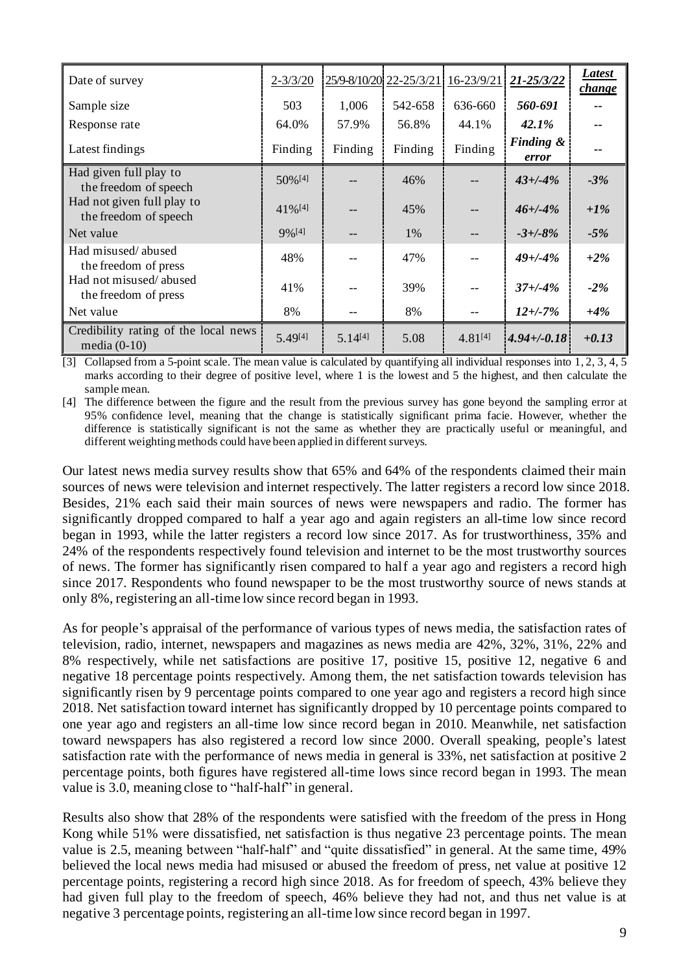| Date of survey                                         | $2 - 3/3/20$          |              | 25/9-8/10/20 22-25/3/21 16-23/9/21 |                   | $21 - 25/3/22$     | Latest<br>change |
|--------------------------------------------------------|-----------------------|--------------|------------------------------------|-------------------|--------------------|------------------|
| Sample size                                            | 503                   | 1,006        | 542-658                            | 636-660           | 560-691            |                  |
| Response rate                                          | 64.0%                 | 57.9%        | 56.8%                              | 44.1%             | $42.1\%$           |                  |
| Latest findings                                        | Finding               | Finding      | Finding                            | Finding           | Finding &<br>error |                  |
| Had given full play to<br>the freedom of speech        | 50% [4]               |              | 46%                                |                   | $43 + (-4%)$       | $-3%$            |
| Had not given full play to<br>the freedom of speech    | $41\%$ <sup>[4]</sup> |              | 45%                                |                   | $46 + (-4%)$       | $+1\%$           |
| Net value                                              | $9\%$ <sup>[4]</sup>  | --           | 1%                                 | $\qquad \qquad -$ | $-3 + (-8)$ %      | $-5%$            |
| Had misused/abused<br>the freedom of press             | 48%                   |              | 47%                                |                   | $49 + (-4%)$       | $+2\%$           |
| Had not misused/abused<br>the freedom of press         | 41%                   |              | 39%                                |                   | $37 + (-4%)$       | $-2\%$           |
| Net value                                              | 8%                    | --           | 8%                                 | $- -$             | $12 + (-7%)$       | $+4%$            |
| Credibility rating of the local news<br>media $(0-10)$ | 5.49[4]               | $5.14^{[4]}$ | 5.08                               | $4.81^{[4]}$      | $4.94 + -0.18$     | $+0.13$          |

[3] Collapsed from a 5-point scale. The mean value is calculated by quantifying all individual responses into  $1, 2, 3, 4, 5$ marks according to their degree of positive level, where 1 is the lowest and 5 the highest, and then calculate the sample mean.

[4] The difference between the figure and the result from the previous survey has gone beyond the sampling error at 95% confidence level, meaning that the change is statistically significant prima facie. However, whether the difference is statistically significant is not the same as whether they are practically useful or meaningful, and different weighting methods could have been applied in different surveys.

Our latest news media survey results show that 65% and 64% of the respondents claimed their main sources of news were television and internet respectively. The latter registers a record low since 2018. Besides, 21% each said their main sources of news were newspapers and radio. The former has significantly dropped compared to half a year ago and again registers an all-time low since record began in 1993, while the latter registers a record low since 2017. As for trustworthiness, 35% and 24% of the respondents respectively found television and internet to be the most trustworthy sources of news. The former has significantly risen compared to half a year ago and registers a record high since 2017. Respondents who found newspaper to be the most trustworthy source of news stands at only 8%, registering an all-time low since record began in 1993.

As for people's appraisal of the performance of various types of news media, the satisfaction rates of television, radio, internet, newspapers and magazines as news media are 42%, 32%, 31%, 22% and 8% respectively, while net satisfactions are positive 17, positive 15, positive 12, negative 6 and negative 18 percentage points respectively. Among them, the net satisfaction towards television has significantly risen by 9 percentage points compared to one year ago and registers a record high since 2018. Net satisfaction toward internet has significantly dropped by 10 percentage points compared to one year ago and registers an all-time low since record began in 2010. Meanwhile, net satisfaction toward newspapers has also registered a record low since 2000. Overall speaking, people's latest satisfaction rate with the performance of news media in general is 33%, net satisfaction at positive 2 percentage points, both figures have registered all-time lows since record began in 1993. The mean value is 3.0, meaning close to "half-half" in general.

Results also show that 28% of the respondents were satisfied with the freedom of the press in Hong Kong while 51% were dissatisfied, net satisfaction is thus negative 23 percentage points. The mean value is 2.5, meaning between "half-half" and "quite dissatisfied" in general. At the same time, 49% believed the local news media had misused or abused the freedom of press, net value at positive 12 percentage points, registering a record high since 2018. As for freedom of speech, 43% believe they had given full play to the freedom of speech, 46% believe they had not, and thus net value is at negative 3 percentage points, registering an all-time low since record began in 1997.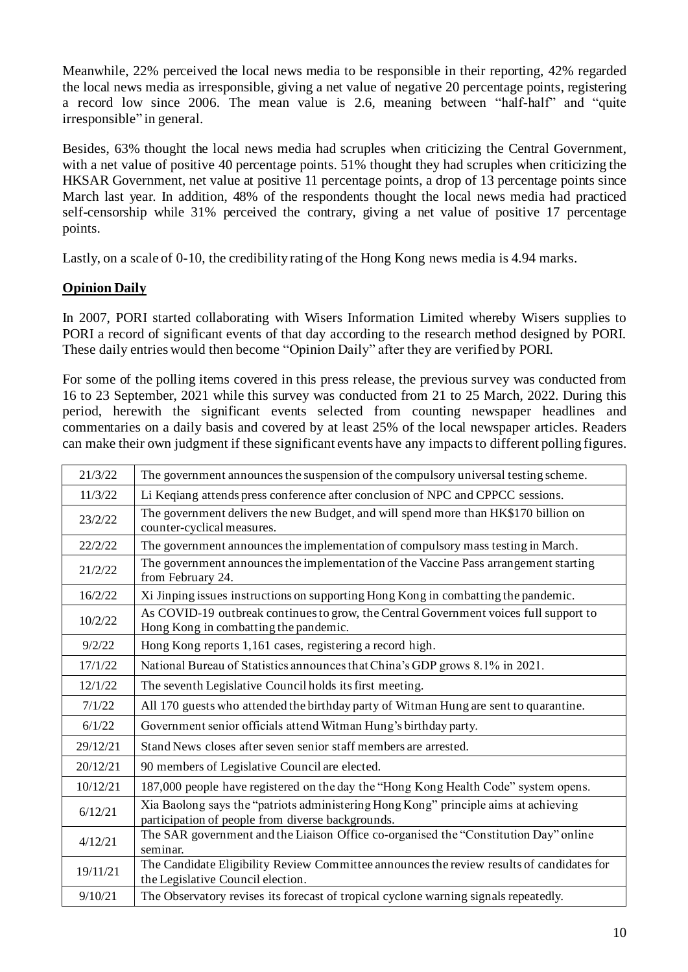Meanwhile, 22% perceived the local news media to be responsible in their reporting, 42% regarded the local news media as irresponsible, giving a net value of negative 20 percentage points, registering a record low since 2006. The mean value is 2.6, meaning between "half-half" and "quite irresponsible" in general.

Besides, 63% thought the local news media had scruples when criticizing the Central Government, with a net value of positive 40 percentage points. 51% thought they had scruples when criticizing the HKSAR Government, net value at positive 11 percentage points, a drop of 13 percentage points since March last year. In addition, 48% of the respondents thought the local news media had practiced self-censorship while 31% perceived the contrary, giving a net value of positive 17 percentage points.

Lastly, on a scale of 0-10, the credibility rating of the Hong Kong news media is 4.94 marks.

### **Opinion Daily**

In 2007, PORI started collaborating with Wisers Information Limited whereby Wisers supplies to PORI a record of significant events of that day according to the research method designed by PORI. These daily entries would then become "Opinion Daily" after they are verified by PORI.

For some of the polling items covered in this press release, the previous survey was conducted from 16 to 23 September, 2021 while this survey was conducted from 21 to 25 March, 2022. During this period, herewith the significant events selected from counting newspaper headlines and commentaries on a daily basis and covered by at least 25% of the local newspaper articles. Readers can make their own judgment if these significant events have any impacts to different polling figures.

| 21/3/22  | The government announces the suspension of the compulsory universal testing scheme.                                                      |
|----------|------------------------------------------------------------------------------------------------------------------------------------------|
| 11/3/22  | Li Keqiang attends press conference after conclusion of NPC and CPPCC sessions.                                                          |
| 23/2/22  | The government delivers the new Budget, and will spend more than HK\$170 billion on<br>counter-cyclical measures.                        |
| 22/2/22  | The government announces the implementation of compulsory mass testing in March.                                                         |
| 21/2/22  | The government announces the implementation of the Vaccine Pass arrangement starting<br>from February 24.                                |
| 16/2/22  | Xi Jinping issues instructions on supporting Hong Kong in combatting the pandemic.                                                       |
| 10/2/22  | As COVID-19 outbreak continues to grow, the Central Government voices full support to<br>Hong Kong in combatting the pandemic.           |
| 9/2/22   | Hong Kong reports 1,161 cases, registering a record high.                                                                                |
| 17/1/22  | National Bureau of Statistics announces that China's GDP grows 8.1% in 2021.                                                             |
| 12/1/22  | The seventh Legislative Council holds its first meeting.                                                                                 |
| 7/1/22   | All 170 guests who attended the birthday party of Witman Hung are sent to quarantine.                                                    |
| 6/1/22   | Government senior officials attend Witman Hung's birthday party.                                                                         |
| 29/12/21 | Stand News closes after seven senior staff members are arrested.                                                                         |
| 20/12/21 | 90 members of Legislative Council are elected.                                                                                           |
| 10/12/21 | 187,000 people have registered on the day the "Hong Kong Health Code" system opens.                                                      |
| 6/12/21  | Xia Baolong says the "patriots administering Hong Kong" principle aims at achieving<br>participation of people from diverse backgrounds. |
| 4/12/21  | The SAR government and the Liaison Office co-organised the "Constitution Day" online<br>seminar.                                         |
| 19/11/21 | The Candidate Eligibility Review Committee announces the review results of candidates for<br>the Legislative Council election.           |
| 9/10/21  | The Observatory revises its forecast of tropical cyclone warning signals repeatedly.                                                     |